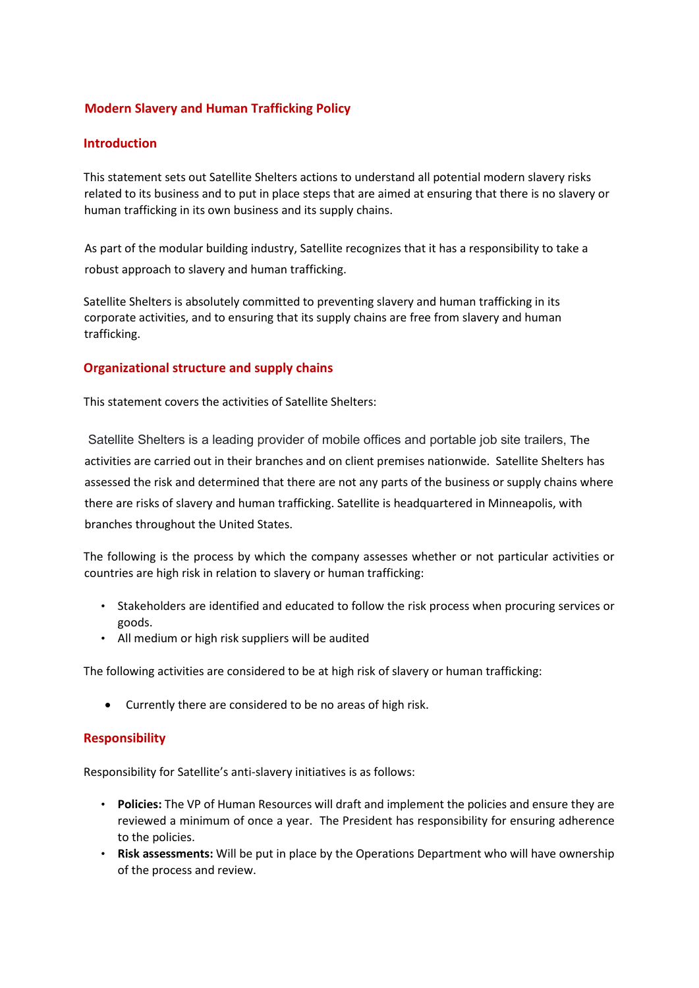## **Modern Slavery and Human Trafficking Policy**

#### **Introduction**

This statement sets out Satellite Shelters actions to understand all potential modern slavery risks related to its business and to put in place steps that are aimed at ensuring that there is no slavery or human trafficking in its own business and its supply chains.

As part of the modular building industry, Satellite recognizes that it has a responsibility to take a robust approach to slavery and human trafficking.

Satellite Shelters is absolutely committed to preventing slavery and human trafficking in its corporate activities, and to ensuring that its supply chains are free from slavery and human trafficking.

## **Organizational structure and supply chains**

This statement covers the activities of Satellite Shelters:

Satellite Shelters is a leading provider of mobile offices and portable job site trailers, The activities are carried out in their branches and on client premises nationwide. Satellite Shelters has assessed the risk and determined that there are not any parts of the business or supply chains where there are risks of slavery and human trafficking. Satellite is headquartered in Minneapolis, with branches throughout the United States.

The following is the process by which the company assesses whether or not particular activities or countries are high risk in relation to slavery or human trafficking:

- Stakeholders are identified and educated to follow the risk process when procuring services or goods.
- All medium or high risk suppliers will be audited

The following activities are considered to be at high risk of slavery or human trafficking:

• Currently there are considered to be no areas of high risk.

#### **Responsibility**

Responsibility for Satellite's anti-slavery initiatives is as follows:

- **Policies:** The VP of Human Resources will draft and implement the policies and ensure they are reviewed a minimum of once a year. The President has responsibility for ensuring adherence to the policies.
- **Risk assessments:** Will be put in place by the Operations Department who will have ownership of the process and review.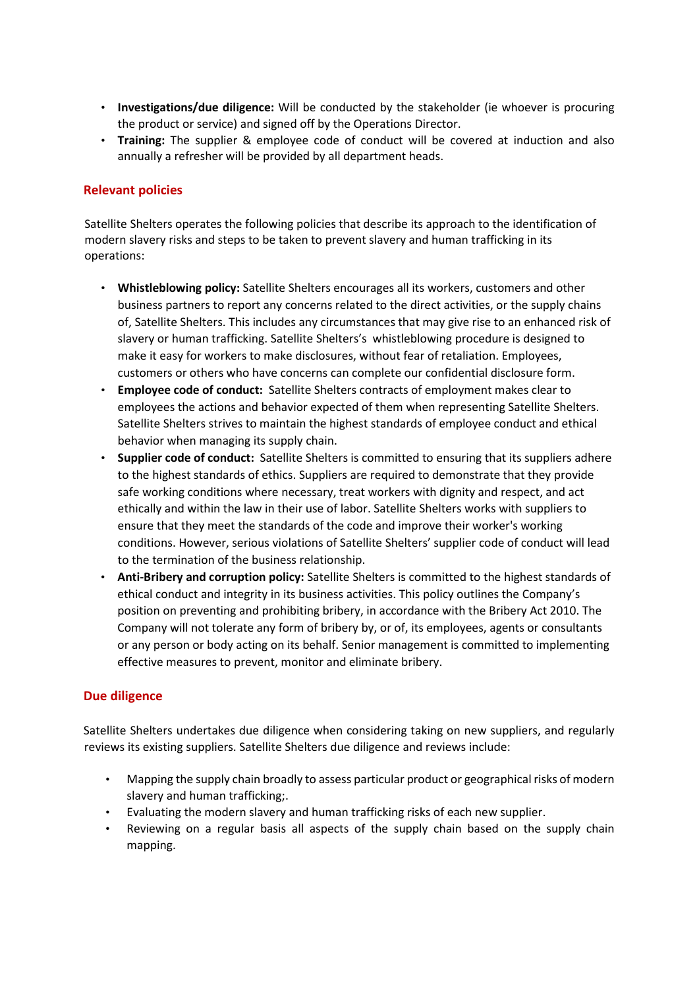- **Investigations/due diligence:** Will be conducted by the stakeholder (ie whoever is procuring the product or service) and signed off by the Operations Director.
- **Training:** The supplier & employee code of conduct will be covered at induction and also annually a refresher will be provided by all department heads.

## **Relevant policies**

Satellite Shelters operates the following policies that describe its approach to the identification of modern slavery risks and steps to be taken to prevent slavery and human trafficking in its operations:

- **Whistleblowing policy:** Satellite Shelters encourages all its workers, customers and other business partners to report any concerns related to the direct activities, or the supply chains of, Satellite Shelters. This includes any circumstances that may give rise to an enhanced risk of slavery or human trafficking. Satellite Shelters's whistleblowing procedure is designed to make it easy for workers to make disclosures, without fear of retaliation. Employees, customers or others who have concerns can complete our confidential disclosure form.
- **Employee code of conduct:** Satellite Shelters contracts of employment makes clear to employees the actions and behavior expected of them when representing Satellite Shelters. Satellite Shelters strives to maintain the highest standards of employee conduct and ethical behavior when managing its supply chain.
- **Supplier code of conduct:** Satellite Shelters is committed to ensuring that its suppliers adhere to the highest standards of ethics. Suppliers are required to demonstrate that they provide safe working conditions where necessary, treat workers with dignity and respect, and act ethically and within the law in their use of labor. Satellite Shelters works with suppliers to ensure that they meet the standards of the code and improve their worker's working conditions. However, serious violations of Satellite Shelters' supplier code of conduct will lead to the termination of the business relationship.
- **Anti-Bribery and corruption policy:** Satellite Shelters is committed to the highest standards of ethical conduct and integrity in its business activities. This policy outlines the Company's position on preventing and prohibiting bribery, in accordance with the Bribery Act 2010. The Company will not tolerate any form of bribery by, or of, its employees, agents or consultants or any person or body acting on its behalf. Senior management is committed to implementing effective measures to prevent, monitor and eliminate bribery.

#### **Due diligence**

Satellite Shelters undertakes due diligence when considering taking on new suppliers, and regularly reviews its existing suppliers. Satellite Shelters due diligence and reviews include:

- Mapping the supply chain broadly to assess particular product or geographical risks of modern slavery and human trafficking;.
- Evaluating the modern slavery and human trafficking risks of each new supplier.
- Reviewing on a regular basis all aspects of the supply chain based on the supply chain mapping.